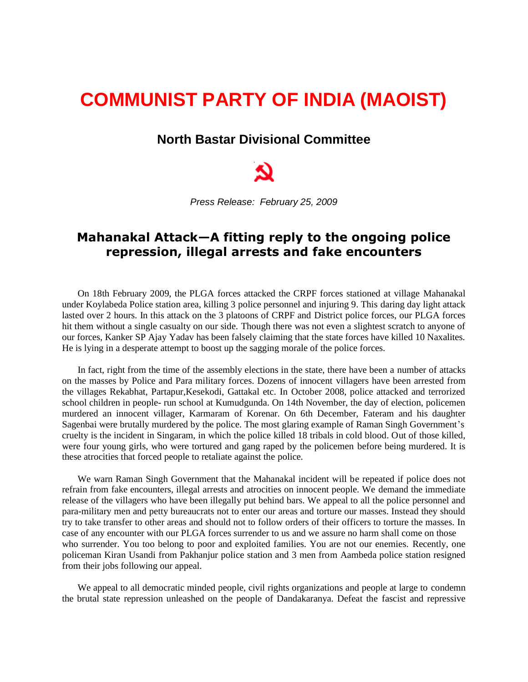## **COMMUNIST PARTY OF INDIA (MAOIST)**

## **North Bastar Divisional Committee**



*Press Release: February 25, 2009*

## **Mahanakal Attack—A fitting reply to the ongoing police repression, illegal arrests and fake encounters**

On 18th February 2009, the PLGA forces attacked the CRPF forces stationed at village Mahanakal under Koylabeda Police station area, killing 3 police personnel and injuring 9. This daring day light attack lasted over 2 hours. In this attack on the 3 platoons of CRPF and District police forces, our PLGA forces hit them without a single casualty on our side. Though there was not even a slightest scratch to anyone of our forces, Kanker SP Ajay Yadav has been falsely claiming that the state forces have killed 10 Naxalites. He is lying in a desperate attempt to boost up the sagging morale of the police forces.

In fact, right from the time of the assembly elections in the state, there have been a number of attacks on the masses by Police and Para military forces. Dozens of innocent villagers have been arrested from the villages Rekabhat, Partapur,Kesekodi, Gattakal etc. In October 2008, police attacked and terrorized school children in people- run school at Kumudgunda. On 14th November, the day of election, policemen murdered an innocent villager, Karmaram of Korenar. On 6th December, Fateram and his daughter Sagenbai were brutally murdered by the police. The most glaring example of Raman Singh Government's cruelty is the incident in Singaram, in which the police killed 18 tribals in cold blood. Out of those killed, were four young girls, who were tortured and gang raped by the policemen before being murdered. It is these atrocities that forced people to retaliate against the police.

We warn Raman Singh Government that the Mahanakal incident will be repeated if police does not refrain from fake encounters, illegal arrests and atrocities on innocent people. We demand the immediate release of the villagers who have been illegally put behind bars. We appeal to all the police personnel and para-military men and petty bureaucrats not to enter our areas and torture our masses. Instead they should try to take transfer to other areas and should not to follow orders of their officers to torture the masses. In case of any encounter with our PLGA forces surrender to us and we assure no harm shall come on those who surrender. You too belong to poor and exploited families. You are not our enemies. Recently, one policeman Kiran Usandi from Pakhanjur police station and 3 men from Aambeda police station resigned from their jobs following our appeal.

We appeal to all democratic minded people, civil rights organizations and people at large to condemn the brutal state repression unleashed on the people of Dandakaranya. Defeat the fascist and repressive